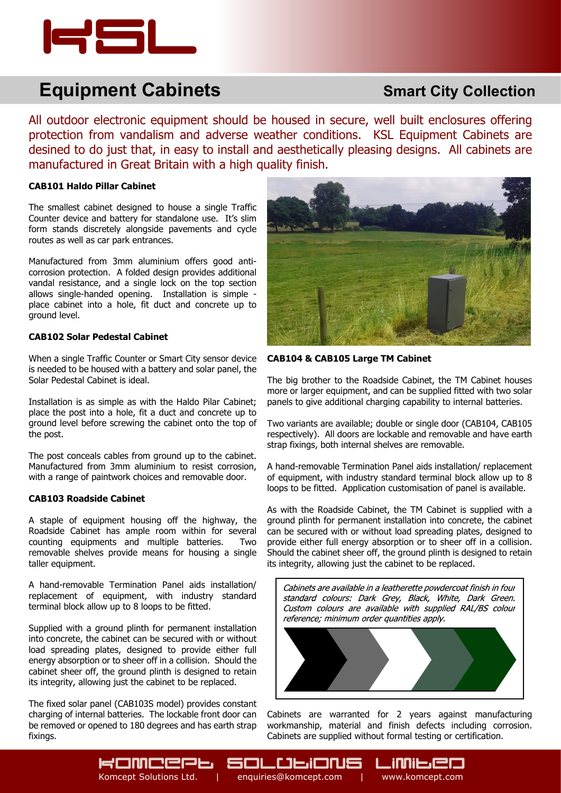

# **Equipment Cabinets**

# **Smart City Collection**

All outdoor electronic equipment should be housed in secure, well built enclosures offering protection from vandalism and adverse weather conditions. KSL Equipment Cabinets are desined to do just that, in easy to install and aesthetically pleasing designs. All cabinets are manufactured in Great Britain with a high quality finish.

Komcept Solutions Ltd. | enquiries@komcept.com | www.komcept.com

SOLULIONS

#### **CAB101 Haldo Pillar Cabinet**

The smallest cabinet designed to house a single Traffic Counter device and battery for standalone use. It's slim form stands discretely alongside pavements and cycle routes as well as car park entrances.

Manufactured from 3mm aluminium offers good anticorrosion protection. A folded design provides additional vandal resistance, and a single lock on the top section allows single-handed opening. Installation is simple place cabinet into a hole, fit duct and concrete up to ground level.

#### **CAB102 Solar Pedestal Cabinet**

When a single Traffic Counter or Smart City sensor device is needed to be housed with a battery and solar panel, the Solar Pedestal Cabinet is ideal.

Installation is as simple as with the Haldo Pilar Cabinet; place the post into a hole, fit a duct and concrete up to ground level before screwing the cabinet onto the top of the post.

The post conceals cables from ground up to the cabinet. Manufactured from 3mm aluminium to resist corrosion, with a range of paintwork choices and removable door.

#### **CAB103 Roadside Cabinet**

A staple of equipment housing off the highway, the Roadside Cabinet has ample room within for several counting equipments and multiple batteries. Two removable shelves provide means for housing a single taller equipment.

A hand-removable Termination Panel aids installation/ replacement of equipment, with industry standard terminal block allow up to 8 loops to be fitted.

Supplied with a ground plinth for permanent installation into concrete, the cabinet can be secured with or without load spreading plates, designed to provide either full energy absorption or to sheer off in a collision. Should the cabinet sheer off, the ground plinth is designed to retain its integrity, allowing just the cabinet to be replaced.

The fixed solar panel (CAB103S model) provides constant charging of internal batteries. The lockable front door can be removed or opened to 180 degrees and has earth strap fixings.

**KOMCEPP** 



#### **CAB104 & CAB105 Large TM Cabinet**

The big brother to the Roadside Cabinet, the TM Cabinet houses more or larger equipment, and can be supplied fitted with two solar panels to give additional charging capability to internal batteries.

Two variants are available; double or single door (CAB104, CAB105 respectively). All doors are lockable and removable and have earth strap fixings, both internal shelves are removable.

A hand-removable Termination Panel aids installation/ replacement of equipment, with industry standard terminal block allow up to 8 loops to be fitted. Application customisation of panel is available.

As with the Roadside Cabinet, the TM Cabinet is supplied with a ground plinth for permanent installation into concrete, the cabinet can be secured with or without load spreading plates, designed to provide either full energy absorption or to sheer off in a collision. Should the cabinet sheer off, the ground plinth is designed to retain its integrity, allowing just the cabinet to be replaced.



Cabinets are warranted for 2 years against manufacturing workmanship, material and finish defects including corrosion. Cabinets are supplied without formal testing or certification.

[j]]][=]E[E]